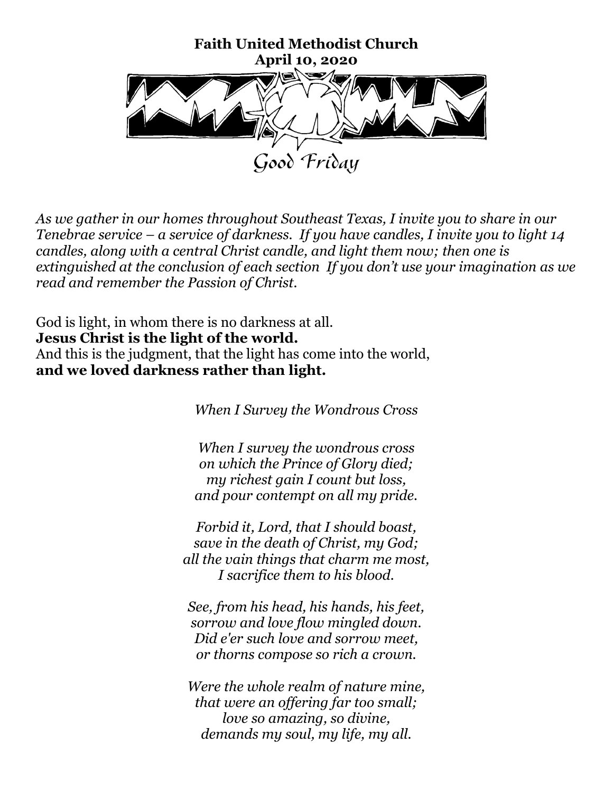

*As we gather in our homes throughout Southeast Texas, I invite you to share in our Tenebrae service – a service of darkness. If you have candles, I invite you to light 14 candles, along with a central Christ candle, and light them now; then one is extinguished at the conclusion of each section If you don't use your imagination as we read and remember the Passion of Christ.*

God is light, in whom there is no darkness at all. **Jesus Christ is the light of the world.** And this is the judgment, that the light has come into the world,

**and we loved darkness rather than light.**

*When I Survey the Wondrous Cross*

*When I survey the wondrous cross on which the Prince of Glory died; my richest gain I count but loss, and pour contempt on all my pride.* 

*Forbid it, Lord, that I should boast, save in the death of Christ, my God; all the vain things that charm me most, I sacrifice them to his blood.*

*See, from his head, his hands, his feet, sorrow and love flow mingled down. Did e'er such love and sorrow meet, or thorns compose so rich a crown.* 

*Were the whole realm of nature mine, that were an offering far too small; love so amazing, so divine, demands my soul, my life, my all.*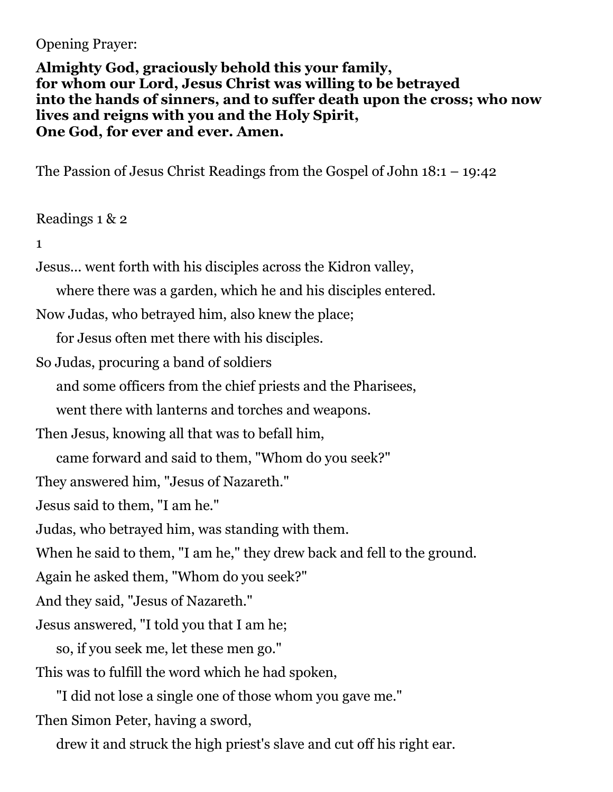## Opening Prayer:

**Almighty God, graciously behold this your family, for whom our Lord, Jesus Christ was willing to be betrayed into the hands of sinners, and to suffer death upon the cross; who now lives and reigns with you and the Holy Spirit, One God, for ever and ever. Amen.**

The Passion of Jesus Christ Readings from the Gospel of John 18:1 – 19:42

## Readings 1 & 2

## 1

Jesus... went forth with his disciples across the Kidron valley,

where there was a garden, which he and his disciples entered.

Now Judas, who betrayed him, also knew the place;

for Jesus often met there with his disciples.

So Judas, procuring a band of soldiers

and some officers from the chief priests and the Pharisees,

went there with lanterns and torches and weapons.

Then Jesus, knowing all that was to befall him,

came forward and said to them, "Whom do you seek?"

They answered him, "Jesus of Nazareth."

Jesus said to them, "I am he."

Judas, who betrayed him, was standing with them.

When he said to them, "I am he," they drew back and fell to the ground.

Again he asked them, "Whom do you seek?"

And they said, "Jesus of Nazareth."

Jesus answered, "I told you that I am he;

 so, if you seek me, let these men go." This was to fulfill the word which he had spoken,

 "I did not lose a single one of those whom you gave me." Then Simon Peter, having a sword,

drew it and struck the high priest's slave and cut off his right ear.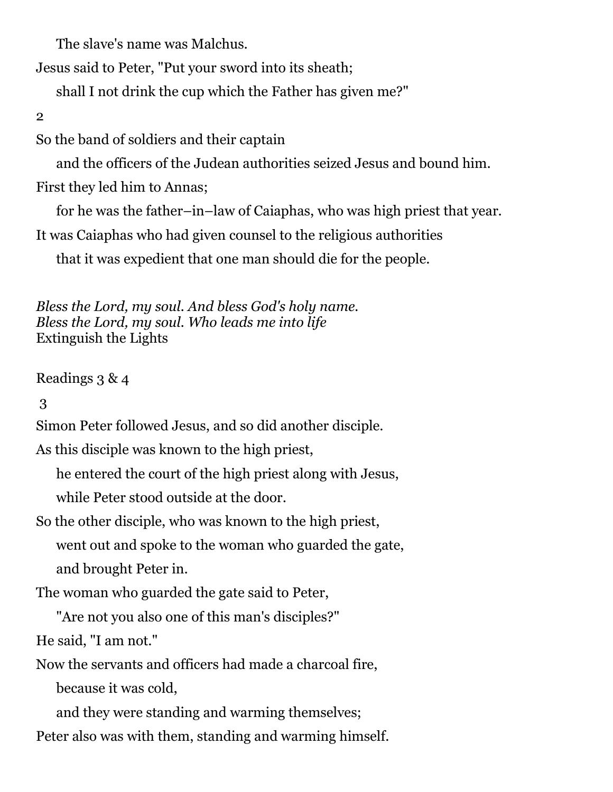The slave's name was Malchus.

Jesus said to Peter, "Put your sword into its sheath;

shall I not drink the cup which the Father has given me?"

2

So the band of soldiers and their captain

and the officers of the Judean authorities seized Jesus and bound him.

First they led him to Annas;

for he was the father–in–law of Caiaphas, who was high priest that year.

It was Caiaphas who had given counsel to the religious authorities

that it was expedient that one man should die for the people.

*Bless the Lord, my soul. And bless God's holy name. Bless the Lord, my soul. Who leads me into life* Extinguish the Lights

Readings 3 & 4

3

Simon Peter followed Jesus, and so did another disciple.

As this disciple was known to the high priest,

he entered the court of the high priest along with Jesus,

while Peter stood outside at the door.

So the other disciple, who was known to the high priest, went out and spoke to the woman who guarded the gate, and brought Peter in.

The woman who guarded the gate said to Peter,

"Are not you also one of this man's disciples?"

He said, "I am not."

Now the servants and officers had made a charcoal fire,

because it was cold,

and they were standing and warming themselves;

Peter also was with them, standing and warming himself.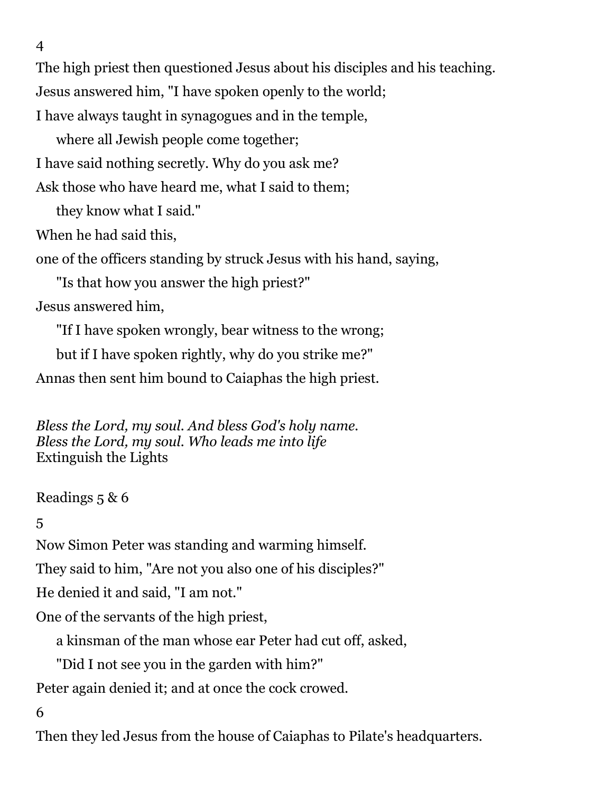4

The high priest then questioned Jesus about his disciples and his teaching.

Jesus answered him, "I have spoken openly to the world;

I have always taught in synagogues and in the temple,

where all Jewish people come together;

I have said nothing secretly. Why do you ask me?

Ask those who have heard me, what I said to them;

they know what I said."

When he had said this,

one of the officers standing by struck Jesus with his hand, saying,

"Is that how you answer the high priest?"

Jesus answered him,

"If I have spoken wrongly, bear witness to the wrong;

but if I have spoken rightly, why do you strike me?"

Annas then sent him bound to Caiaphas the high priest.

*Bless the Lord, my soul. And bless God's holy name. Bless the Lord, my soul. Who leads me into life* Extinguish the Lights

Readings 5 & 6

# 5

Now Simon Peter was standing and warming himself.

They said to him, "Are not you also one of his disciples?"

He denied it and said, "I am not."

One of the servants of the high priest,

a kinsman of the man whose ear Peter had cut off, asked,

"Did I not see you in the garden with him?"

Peter again denied it; and at once the cock crowed.

6

Then they led Jesus from the house of Caiaphas to Pilate's headquarters.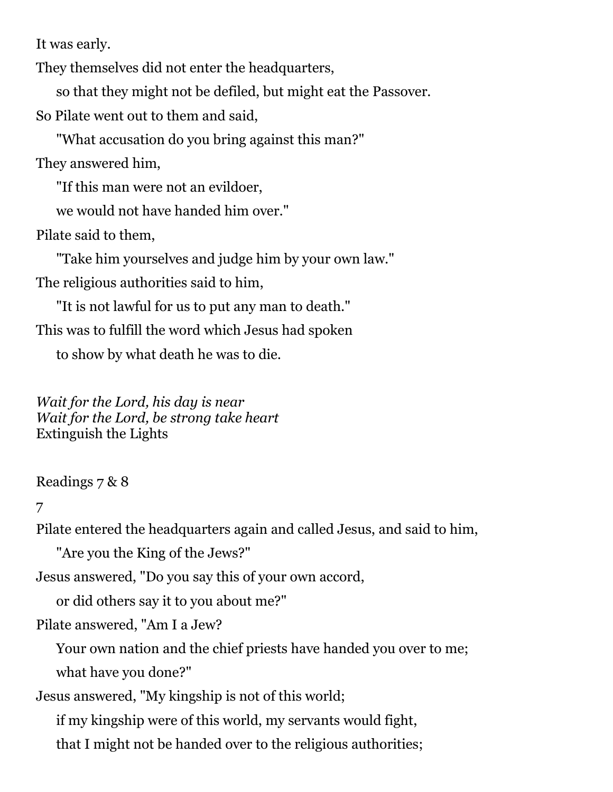It was early.

They themselves did not enter the headquarters,

so that they might not be defiled, but might eat the Passover.

So Pilate went out to them and said,

 "What accusation do you bring against this man?" They answered him,

"If this man were not an evildoer,

we would not have handed him over."

Pilate said to them,

 "Take him yourselves and judge him by your own law." The religious authorities said to him,

 "It is not lawful for us to put any man to death." This was to fulfill the word which Jesus had spoken

to show by what death he was to die.

*Wait for the Lord, his day is near Wait for the Lord, be strong take heart* Extinguish the Lights

Readings 7 & 8

## 7

Pilate entered the headquarters again and called Jesus, and said to him,

"Are you the King of the Jews?"

Jesus answered, "Do you say this of your own accord,

or did others say it to you about me?"

Pilate answered, "Am I a Jew?

 Your own nation and the chief priests have handed you over to me; what have you done?"

Jesus answered, "My kingship is not of this world;

 if my kingship were of this world, my servants would fight, that I might not be handed over to the religious authorities;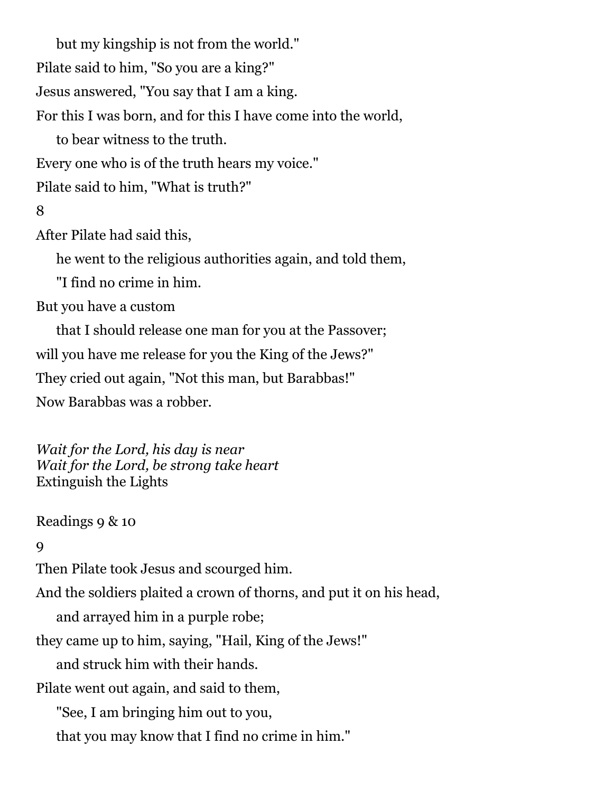but my kingship is not from the world." Pilate said to him, "So you are a king?" Jesus answered, "You say that I am a king. For this I was born, and for this I have come into the world, to bear witness to the truth. Every one who is of the truth hears my voice."

Pilate said to him, "What is truth?"

## 8

After Pilate had said this,

he went to the religious authorities again, and told them,

"I find no crime in him.

But you have a custom

 that I should release one man for you at the Passover; will you have me release for you the King of the Jews?" They cried out again, "Not this man, but Barabbas!" Now Barabbas was a robber.

*Wait for the Lord, his day is near Wait for the Lord, be strong take heart* Extinguish the Lights

Readings 9 & 10

#### $\overline{Q}$

Then Pilate took Jesus and scourged him.

And the soldiers plaited a crown of thorns, and put it on his head,

and arrayed him in a purple robe;

they came up to him, saying, "Hail, King of the Jews!"

and struck him with their hands.

Pilate went out again, and said to them,

"See, I am bringing him out to you,

that you may know that I find no crime in him."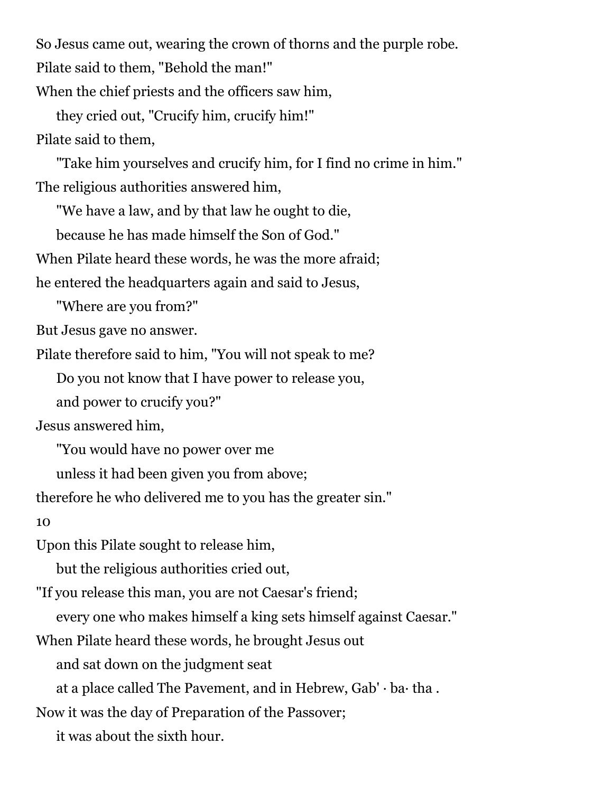So Jesus came out, wearing the crown of thorns and the purple robe.

Pilate said to them, "Behold the man!"

When the chief priests and the officers saw him,

 they cried out, "Crucify him, crucify him!" Pilate said to them,

 "Take him yourselves and crucify him, for I find no crime in him." The religious authorities answered him,

"We have a law, and by that law he ought to die,

because he has made himself the Son of God."

When Pilate heard these words, he was the more afraid;

he entered the headquarters again and said to Jesus,

"Where are you from?"

But Jesus gave no answer.

Pilate therefore said to him, "You will not speak to me?

Do you not know that I have power to release you,

and power to crucify you?"

Jesus answered him,

"You would have no power over me

unless it had been given you from above;

therefore he who delivered me to you has the greater sin."

10

Upon this Pilate sought to release him,

but the religious authorities cried out,

"If you release this man, you are not Caesar's friend;

every one who makes himself a king sets himself against Caesar."

When Pilate heard these words, he brought Jesus out

and sat down on the judgment seat

at a place called The Pavement, and in Hebrew, Gab' · ba· tha .

Now it was the day of Preparation of the Passover;

it was about the sixth hour.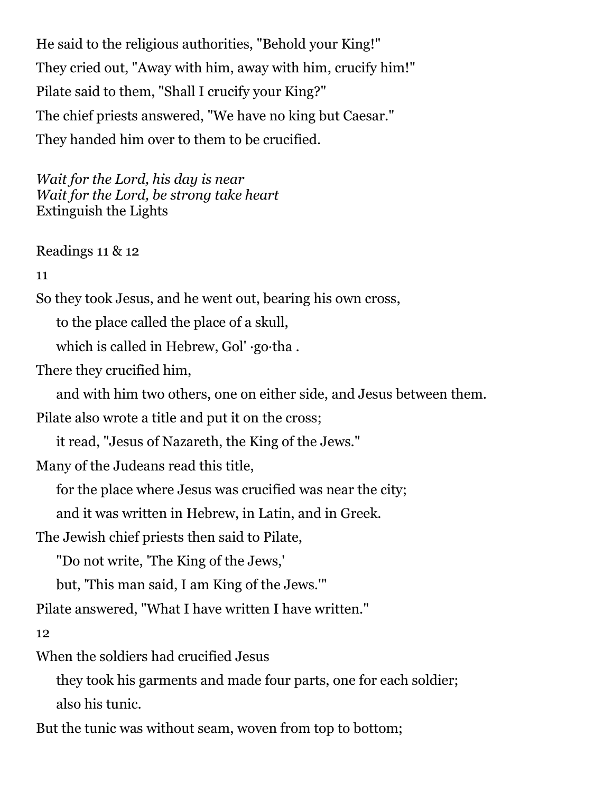He said to the religious authorities, "Behold your King!" They cried out, "Away with him, away with him, crucify him!" Pilate said to them, "Shall I crucify your King?" The chief priests answered, "We have no king but Caesar." They handed him over to them to be crucified.

*Wait for the Lord, his day is near Wait for the Lord, be strong take heart* Extinguish the Lights

Readings 11 & 12

11

So they took Jesus, and he went out, bearing his own cross,

to the place called the place of a skull,

which is called in Hebrew, Gol' ·go·tha .

There they crucified him,

and with him two others, one on either side, and Jesus between them.

Pilate also wrote a title and put it on the cross;

it read, "Jesus of Nazareth, the King of the Jews."

Many of the Judeans read this title,

for the place where Jesus was crucified was near the city;

and it was written in Hebrew, in Latin, and in Greek.

The Jewish chief priests then said to Pilate,

"Do not write, 'The King of the Jews,'

but, 'This man said, I am King of the Jews.'"

Pilate answered, "What I have written I have written."

12

When the soldiers had crucified Jesus

 they took his garments and made four parts, one for each soldier; also his tunic.

But the tunic was without seam, woven from top to bottom;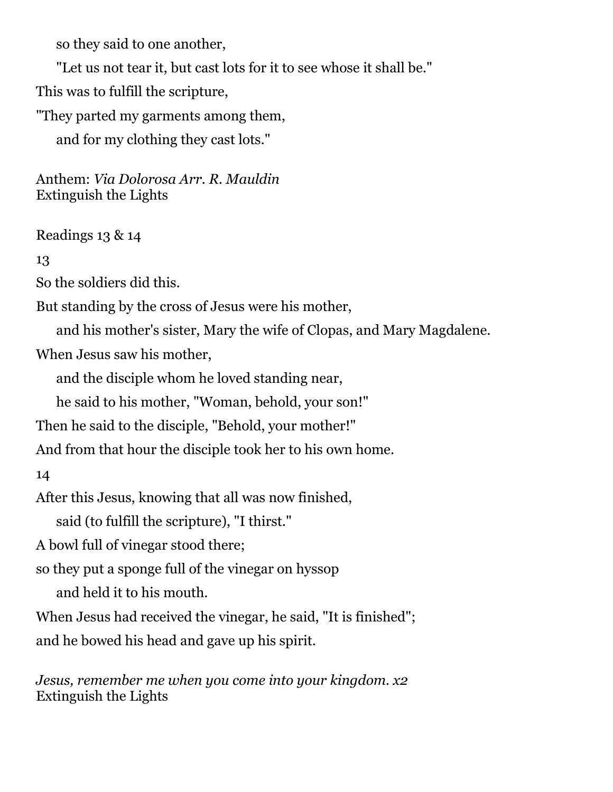so they said to one another,

"Let us not tear it, but cast lots for it to see whose it shall be."

This was to fulfill the scripture,

"They parted my garments among them,

and for my clothing they cast lots."

Anthem: *Via Dolorosa Arr. R. Mauldin* Extinguish the Lights

Readings 13 & 14

13

So the soldiers did this.

But standing by the cross of Jesus were his mother,

and his mother's sister, Mary the wife of Clopas, and Mary Magdalene.

When Jesus saw his mother,

and the disciple whom he loved standing near,

he said to his mother, "Woman, behold, your son!"

Then he said to the disciple, "Behold, your mother!"

And from that hour the disciple took her to his own home.

14

After this Jesus, knowing that all was now finished,

said (to fulfill the scripture), "I thirst."

A bowl full of vinegar stood there;

so they put a sponge full of the vinegar on hyssop

and held it to his mouth.

When Jesus had received the vinegar, he said, "It is finished"; and he bowed his head and gave up his spirit.

*Jesus, remember me when you come into your kingdom. x2* Extinguish the Lights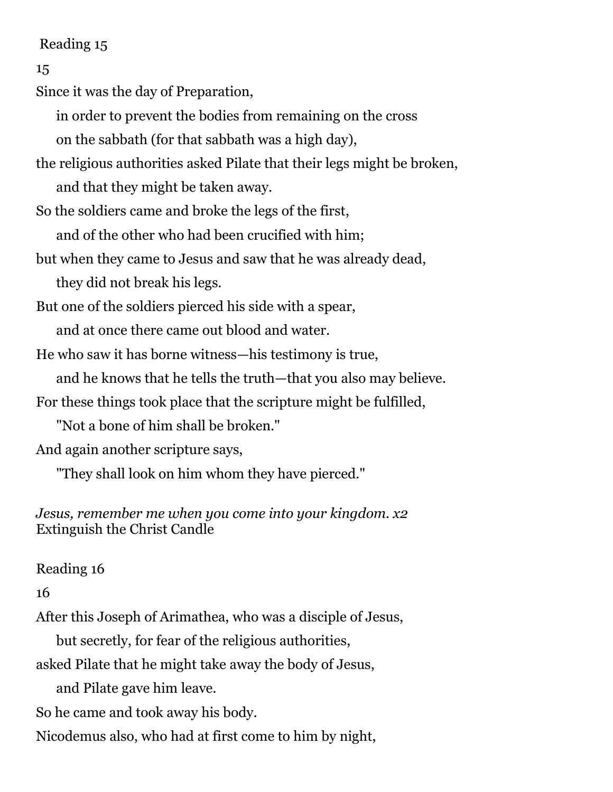### Reading 15

```
15
```
Since it was the day of Preparation,

in order to prevent the bodies from remaining on the cross

on the sabbath (for that sabbath was a high day),

the religious authorities asked Pilate that their legs might be broken, and that they might be taken away.

So the soldiers came and broke the legs of the first,

and of the other who had been crucified with him;

but when they came to Jesus and saw that he was already dead,

they did not break his legs.

But one of the soldiers pierced his side with a spear,

and at once there came out blood and water.

He who saw it has borne witness—his testimony is true,

and he knows that he tells the truth—that you also may believe.

For these things took place that the scripture might be fulfilled,

"Not a bone of him shall be broken."

And again another scripture says,

"They shall look on him whom they have pierced."

## *Jesus, remember me when you come into your kingdom. x2* Extinguish the Christ Candle

# Reading 16

16

After this Joseph of Arimathea, who was a disciple of Jesus,

but secretly, for fear of the religious authorities,

asked Pilate that he might take away the body of Jesus,

and Pilate gave him leave.

So he came and took away his body.

Nicodemus also, who had at first come to him by night,